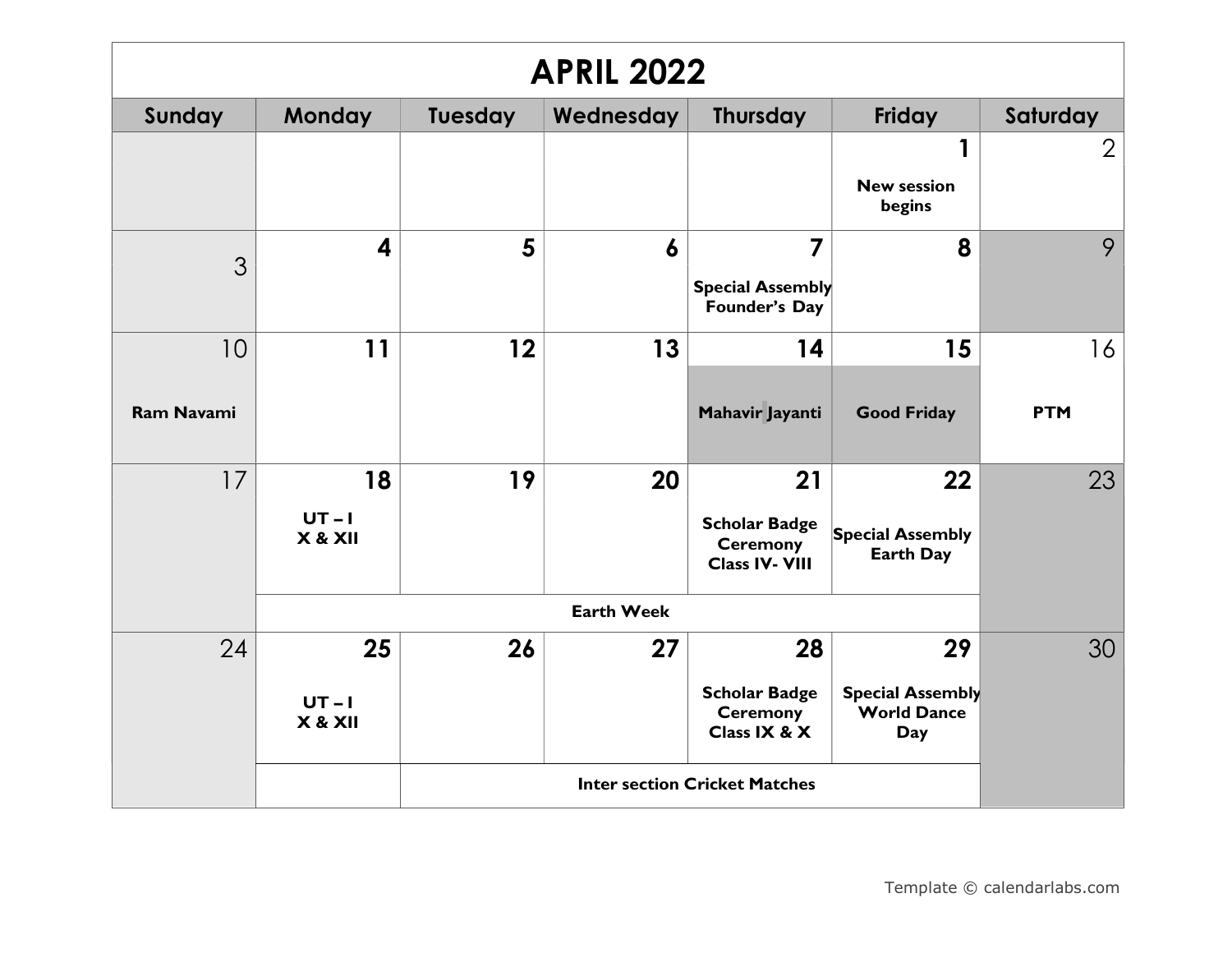| <b>APRIL 2022</b> |                           |                |                   |                                                                  |                                                            |                |  |  |
|-------------------|---------------------------|----------------|-------------------|------------------------------------------------------------------|------------------------------------------------------------|----------------|--|--|
| Sunday            | <b>Monday</b>             | <b>Tuesday</b> | Wednesday         | Thursday                                                         | Friday                                                     | Saturday       |  |  |
|                   |                           |                |                   |                                                                  | 1<br><b>New session</b><br>begins                          | $\overline{2}$ |  |  |
| 3                 | 4                         | 5              | 6                 | $\overline{7}$<br><b>Special Assembly</b><br>Founder's Day       | 8                                                          | 9              |  |  |
| 10                | 11                        | 12             | 13                | 14                                                               | 15                                                         | 16             |  |  |
| <b>Ram Navami</b> |                           |                |                   | Mahavir Jayanti                                                  | <b>Good Friday</b>                                         | <b>PTM</b>     |  |  |
| 17                | 18                        | 19             | 20                | 21                                                               | 22                                                         | 23             |  |  |
|                   | $UT - I$<br>X & XII       |                |                   | <b>Scholar Badge</b><br><b>Ceremony</b><br><b>Class IV- VIII</b> | <b>Special Assembly</b><br><b>Earth Day</b>                |                |  |  |
|                   |                           |                | <b>Earth Week</b> |                                                                  |                                                            |                |  |  |
| 24                | 25<br>$UT - I$<br>X & XII | 26             | 27                | 28<br><b>Scholar Badge</b><br><b>Ceremony</b><br>Class IX & X    | 29<br><b>Special Assembly</b><br><b>World Dance</b><br>Day | 30             |  |  |
|                   |                           |                |                   | <b>Inter section Cricket Matches</b>                             |                                                            |                |  |  |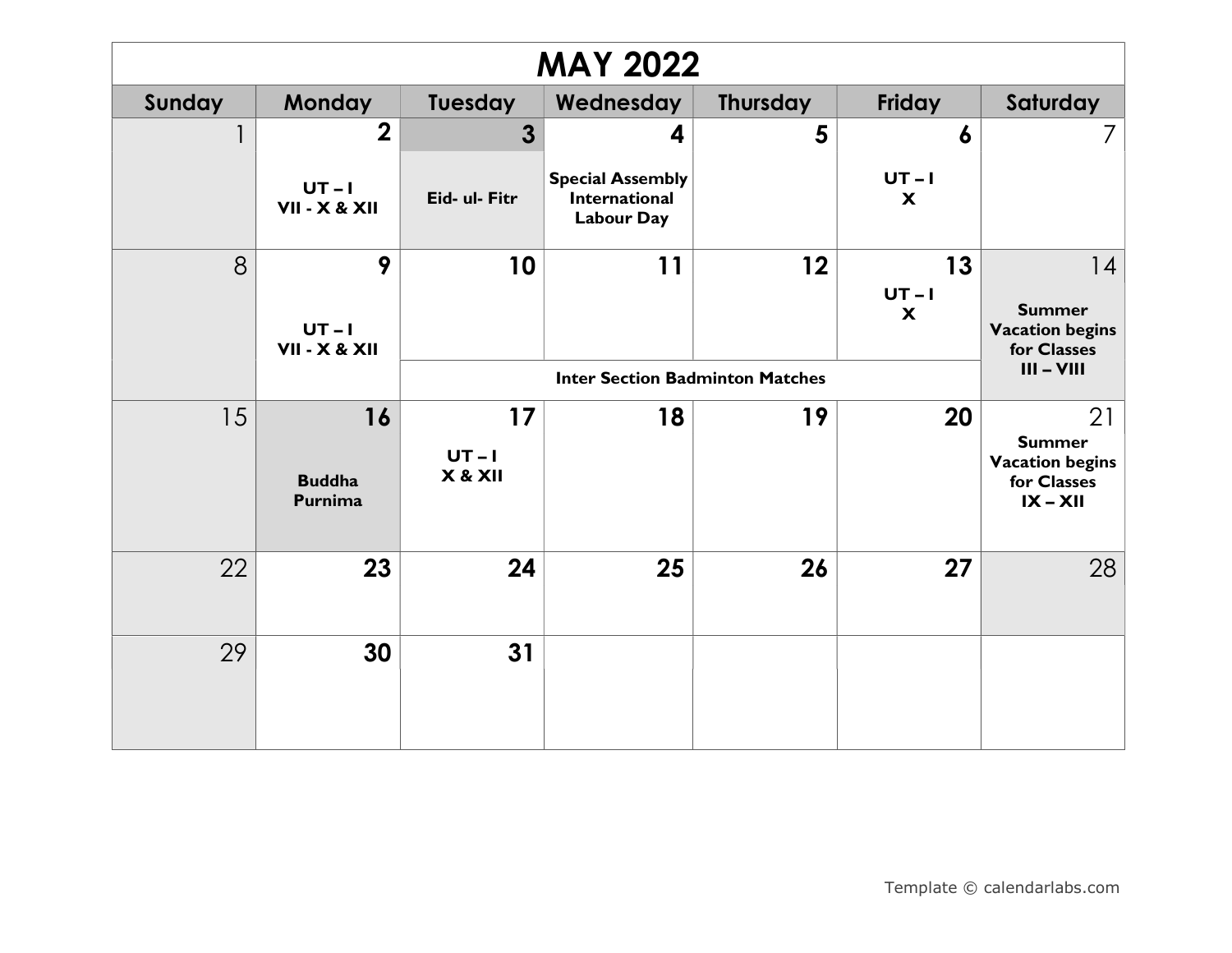| <b>MAY 2022</b> |                                         |                         |                                                                      |                                                        |                                             |                                                                            |  |  |
|-----------------|-----------------------------------------|-------------------------|----------------------------------------------------------------------|--------------------------------------------------------|---------------------------------------------|----------------------------------------------------------------------------|--|--|
| Sunday          | <b>Monday</b>                           | Tuesday                 | Wednesday                                                            | <b>Thursday</b>                                        | Friday                                      | Saturday                                                                   |  |  |
|                 | $\boldsymbol{2}$                        | 3                       | 4                                                                    | 5                                                      | 6                                           | 7                                                                          |  |  |
|                 | $UT-I$<br>VII - X & XII                 | Eid- ul- Fitr           | <b>Special Assembly</b><br><b>International</b><br><b>Labour Day</b> |                                                        | $UT-I$<br>$\boldsymbol{\mathsf{x}}$         |                                                                            |  |  |
| 8               | 9<br>$UT-I$<br><b>VII - X &amp; XII</b> | 10                      | 11                                                                   | 12                                                     | 13<br>$UT - I$<br>$\boldsymbol{\mathsf{x}}$ | 14<br><b>Summer</b><br><b>Vacation begins</b><br>for Classes               |  |  |
|                 |                                         |                         |                                                                      | $III - VIII$<br><b>Inter Section Badminton Matches</b> |                                             |                                                                            |  |  |
| 15              | 16<br><b>Buddha</b><br>Purnima          | 17<br>$UT-I$<br>X & XII | 18                                                                   | 19                                                     | 20                                          | 21<br><b>Summer</b><br><b>Vacation begins</b><br>for Classes<br>$IX - XII$ |  |  |
| 22              | 23                                      | 24                      | 25                                                                   | 26                                                     | 27                                          | 28                                                                         |  |  |
| 29              | 30                                      | 31                      |                                                                      |                                                        |                                             |                                                                            |  |  |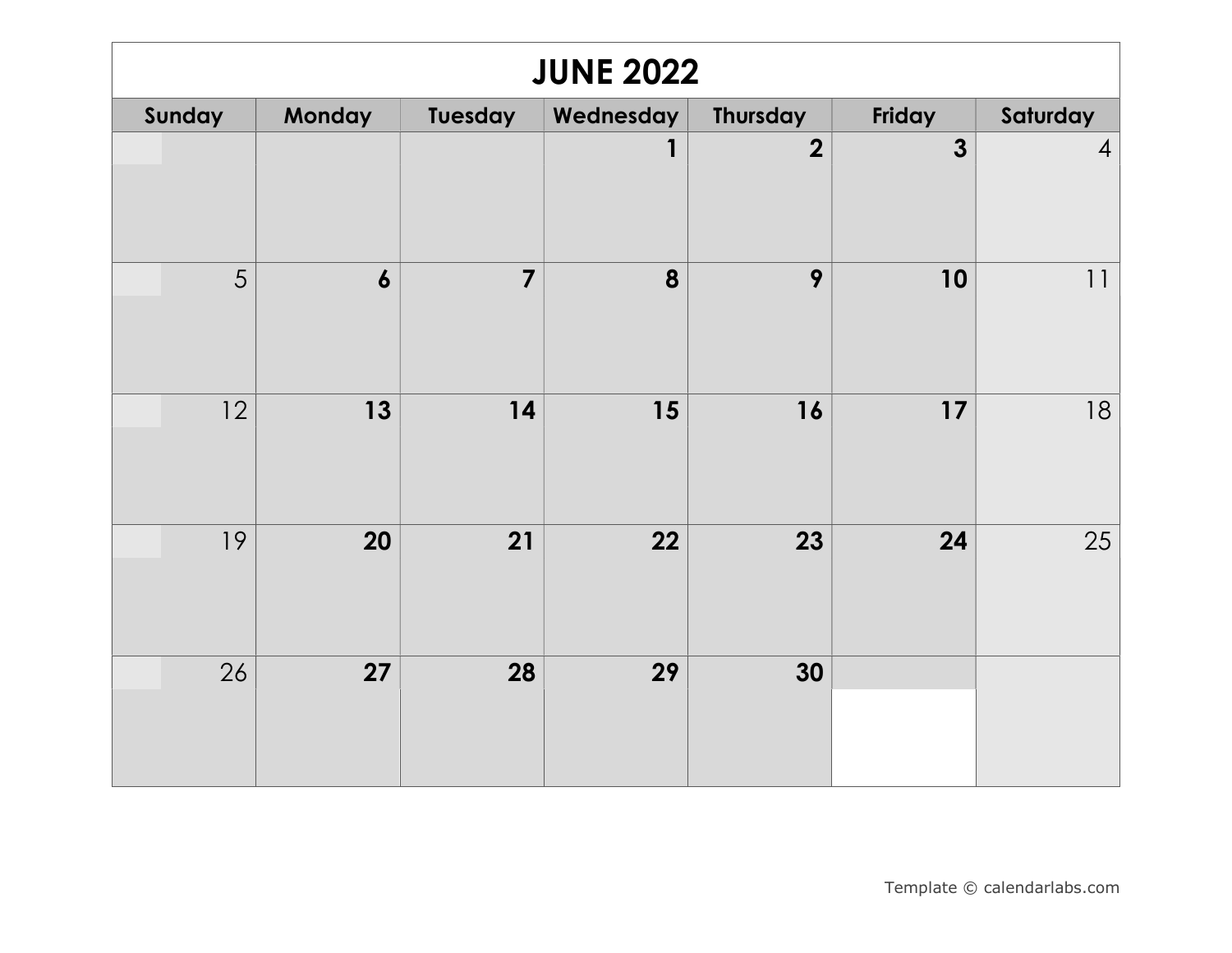| <b>JUNE 2022</b> |                  |                |           |                         |              |                |  |  |  |
|------------------|------------------|----------------|-----------|-------------------------|--------------|----------------|--|--|--|
| Sunday           | Monday           | Tuesday        | Wednesday | <b>Thursday</b>         | Friday       | Saturday       |  |  |  |
|                  |                  |                | 1         | $\overline{\mathbf{2}}$ | $\mathbf{3}$ | $\overline{4}$ |  |  |  |
| 5                | $\boldsymbol{6}$ | $\overline{7}$ | 8         | 9                       | 10           | 11             |  |  |  |
| 12               | 13               | 14             | 15        | 16                      | 17           | 18             |  |  |  |
| 19               | 20               | 21             | 22        | 23                      | 24           | 25             |  |  |  |
| 26               | 27               | 28             | 29        | 30                      |              |                |  |  |  |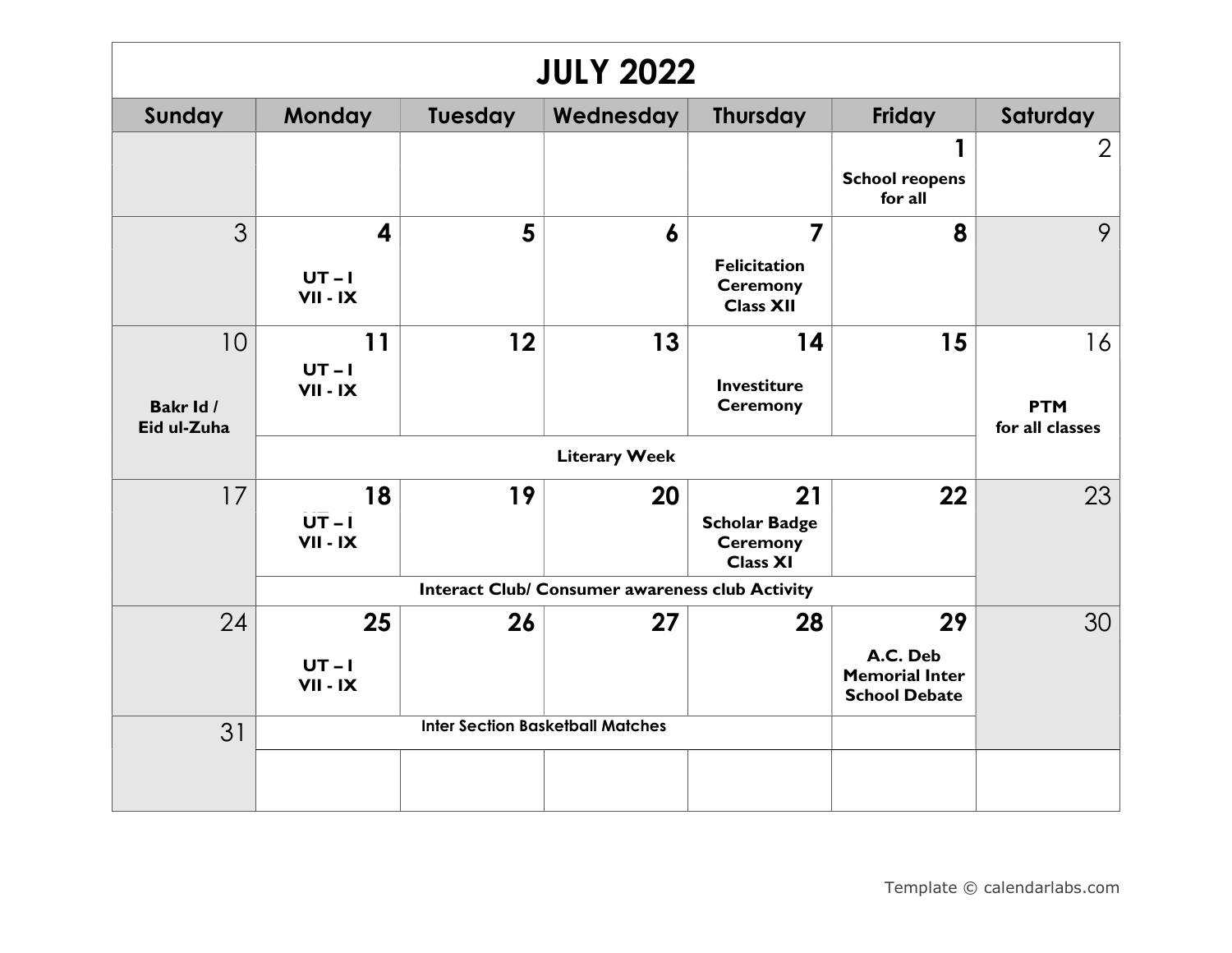| <b>JULY 2022</b>         |                         |         |                                                 |                                                            |                                                           |                               |  |  |
|--------------------------|-------------------------|---------|-------------------------------------------------|------------------------------------------------------------|-----------------------------------------------------------|-------------------------------|--|--|
| Sunday                   | <b>Monday</b>           | Tuesday | Wednesday                                       | <b>Thursday</b>                                            | <b>Friday</b>                                             | Saturday                      |  |  |
|                          |                         |         |                                                 |                                                            | 1<br><b>School reopens</b><br>for all                     | $\overline{2}$                |  |  |
| 3                        | $\overline{\mathbf{4}}$ | 5       | 6                                               | $\overline{7}$                                             | 8                                                         | 9                             |  |  |
|                          | $UT - I$<br>$VII - IX$  |         |                                                 | <b>Felicitation</b><br><b>Ceremony</b><br><b>Class XII</b> |                                                           |                               |  |  |
| 10                       | 11                      | 12      | 13                                              | 14                                                         | 15                                                        | 16                            |  |  |
|                          | $UT - I$<br>VII - IX    |         |                                                 | <b>Investiture</b>                                         |                                                           |                               |  |  |
| Bakr Id /<br>Eid ul-Zuha |                         |         |                                                 | <b>Ceremony</b>                                            |                                                           | <b>PTM</b><br>for all classes |  |  |
|                          |                         |         | <b>Literary Week</b>                            |                                                            |                                                           |                               |  |  |
| 17                       | 18                      | 19      | 20                                              | 21                                                         | 22                                                        | 23                            |  |  |
|                          | $UT - I$<br>VII - IX    |         |                                                 | <b>Scholar Badge</b><br><b>Ceremony</b><br><b>Class XI</b> |                                                           |                               |  |  |
|                          |                         |         | Interact Club/ Consumer awareness club Activity |                                                            |                                                           |                               |  |  |
| 24                       | 25                      | 26      | 27                                              | 28                                                         | 29                                                        | 30                            |  |  |
|                          | $UT - I$<br>VII - IX    |         |                                                 |                                                            | A.C. Deb<br><b>Memorial Inter</b><br><b>School Debate</b> |                               |  |  |
| 31                       |                         |         | <b>Inter Section Basketball Matches</b>         |                                                            |                                                           |                               |  |  |
|                          |                         |         |                                                 |                                                            |                                                           |                               |  |  |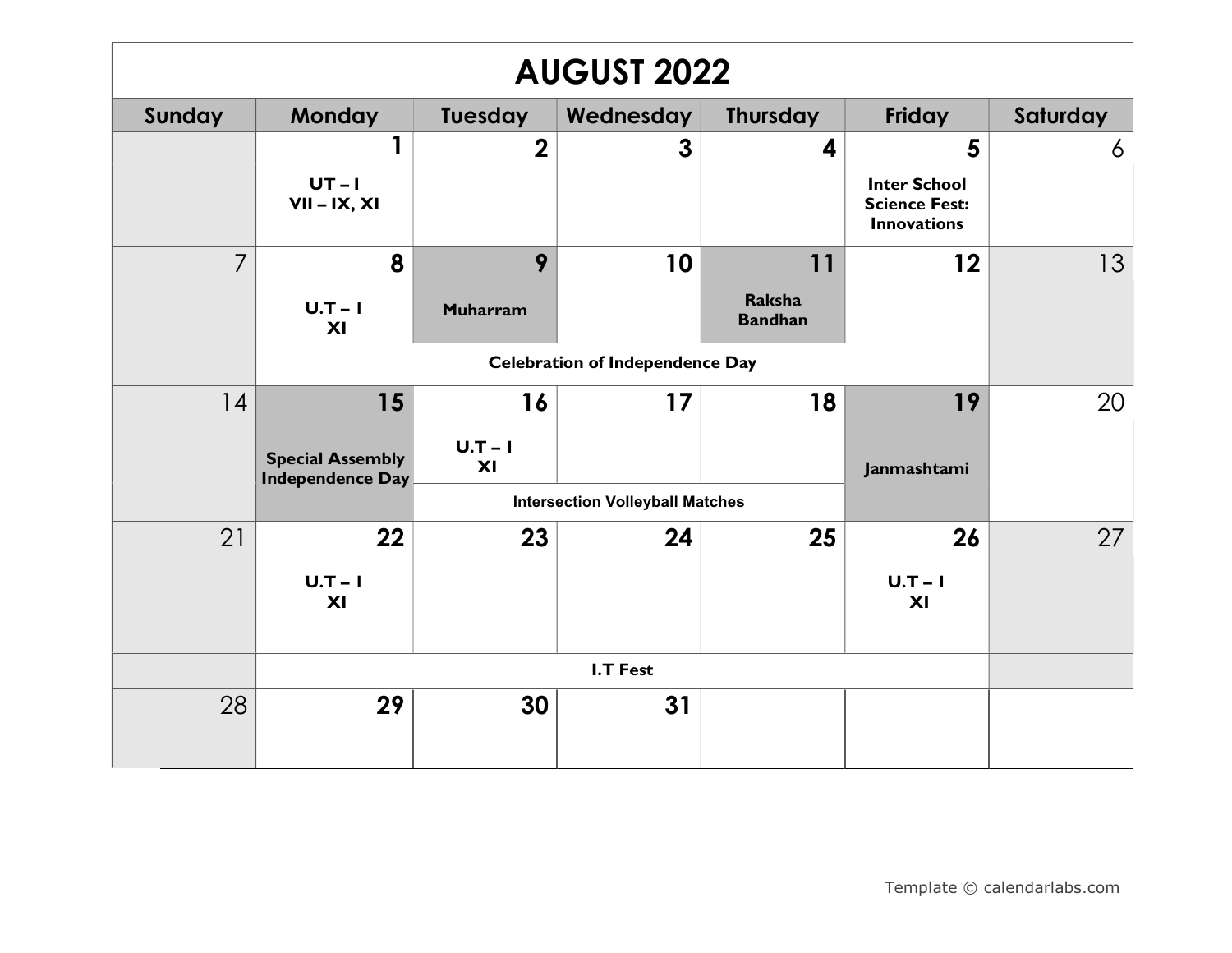| <b>AUGUST 2022</b> |                                                          |                      |                                        |                                       |                                                                        |          |  |  |
|--------------------|----------------------------------------------------------|----------------------|----------------------------------------|---------------------------------------|------------------------------------------------------------------------|----------|--|--|
| Sunday             | <b>Monday</b>                                            | Tuesday              | Wednesday                              | <b>Thursday</b>                       | Friday                                                                 | Saturday |  |  |
|                    | $UT-I$<br>$VII - IX, XI$                                 | $\overline{2}$       | 3                                      | 4                                     | 5<br><b>Inter School</b><br><b>Science Fest:</b><br><b>Innovations</b> | 6        |  |  |
| $\overline{7}$     | 8<br>$U.T-I$<br>XI                                       | 9<br><b>Muharram</b> | 10                                     | 11<br><b>Raksha</b><br><b>Bandhan</b> | 12                                                                     | 13       |  |  |
|                    |                                                          |                      | <b>Celebration of Independence Day</b> |                                       |                                                                        |          |  |  |
| 14                 | 15<br><b>Special Assembly</b><br><b>Independence Day</b> | 16<br>$U.T-I$<br>XI  | 17                                     | 18                                    | 19<br>Janmashtami                                                      | 20       |  |  |
|                    |                                                          |                      | <b>Intersection Volleyball Matches</b> |                                       |                                                                        |          |  |  |
| 21                 | 22<br>$U.T-I$<br>XI                                      | 23                   | 24                                     | 25                                    | 26<br>$U.T-I$<br>XI                                                    | 27       |  |  |
|                    |                                                          |                      |                                        |                                       |                                                                        |          |  |  |
| 28                 | 29                                                       | 30                   | 31                                     |                                       |                                                                        |          |  |  |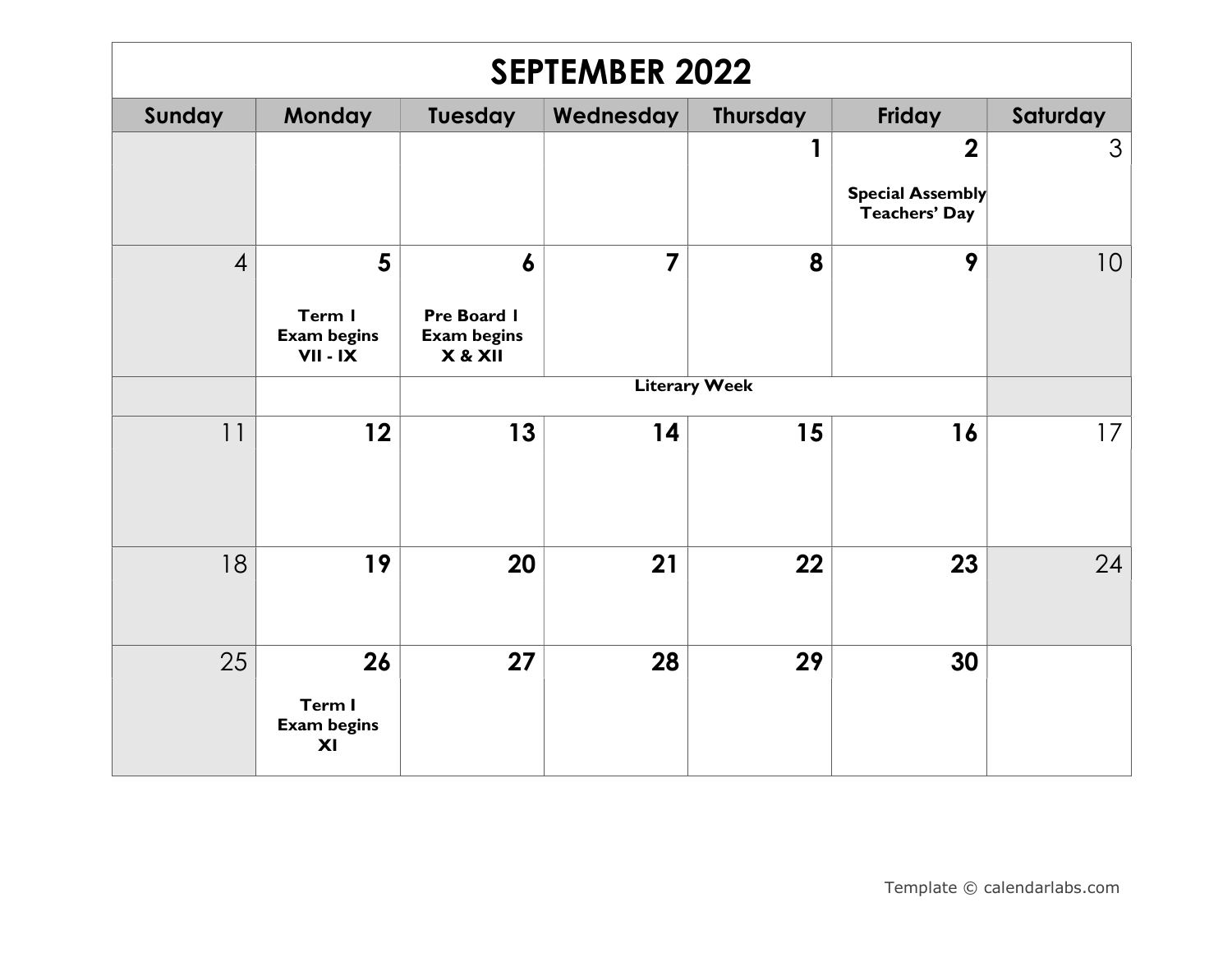| <b>SEPTEMBER 2022</b> |                                                              |                                                                  |                |                      |                                                                     |          |  |  |
|-----------------------|--------------------------------------------------------------|------------------------------------------------------------------|----------------|----------------------|---------------------------------------------------------------------|----------|--|--|
| Sunday                | Monday                                                       | <b>Tuesday</b>                                                   | Wednesday      | <b>Thursday</b>      | Friday                                                              | Saturday |  |  |
|                       |                                                              |                                                                  |                | 1                    | $\boldsymbol{2}$<br><b>Special Assembly</b><br><b>Teachers' Day</b> | 3        |  |  |
| $\overline{4}$        | $5\phantom{1}$<br>Term I<br><b>Exam begins</b><br>$VII - IX$ | $\boldsymbol{6}$<br>Pre Board I<br><b>Exam begins</b><br>X & XII | $\overline{7}$ | 8                    | 9                                                                   | 10       |  |  |
|                       |                                                              |                                                                  |                | <b>Literary Week</b> |                                                                     |          |  |  |
| 11                    | 12                                                           | 13                                                               | 14             | 15                   | 16                                                                  | 17       |  |  |
| 18                    | 19                                                           | 20                                                               | 21             | 22                   | 23                                                                  | 24       |  |  |
| 25                    | 26<br>Term I<br><b>Exam begins</b><br>XI                     | 27                                                               | 28             | 29                   | 30                                                                  |          |  |  |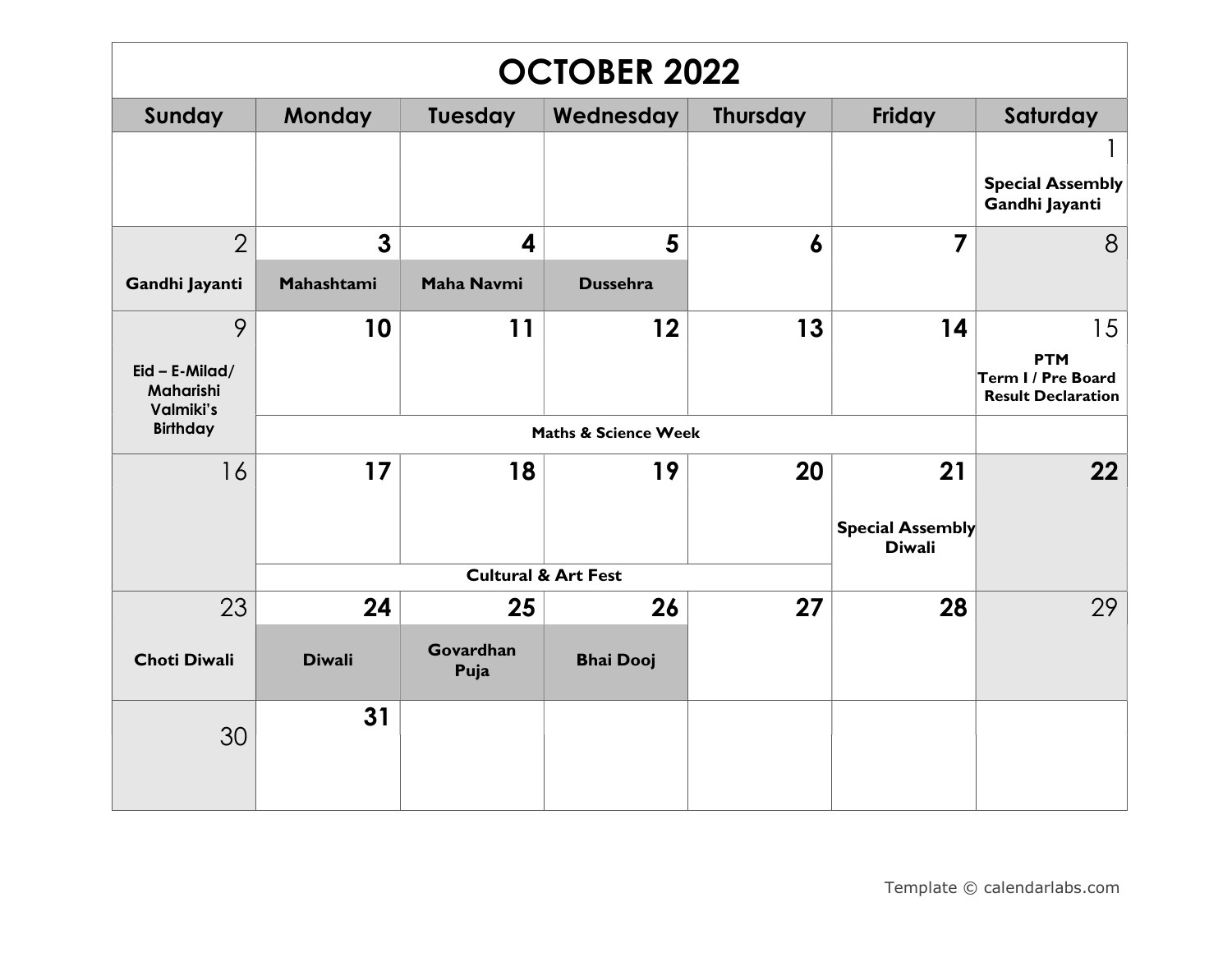| <b>OCTOBER 2022</b>                         |                |                   |                                |                  |                                          |                                                               |  |
|---------------------------------------------|----------------|-------------------|--------------------------------|------------------|------------------------------------------|---------------------------------------------------------------|--|
| Sunday                                      | <b>Monday</b>  | <b>Tuesday</b>    | Wednesday                      | <b>Thursday</b>  | Friday                                   | Saturday                                                      |  |
|                                             |                |                   |                                |                  |                                          | <b>Special Assembly</b><br>Gandhi Jayanti                     |  |
| $\overline{2}$                              | $\overline{3}$ | 4                 | 5                              | $\boldsymbol{6}$ | $\overline{7}$                           | 8                                                             |  |
| Gandhi Jayanti                              | Mahashtami     | <b>Maha Navmi</b> | <b>Dussehra</b>                |                  |                                          |                                                               |  |
| 9                                           | 10             | 11                | 12                             | 13               | 14                                       | 15                                                            |  |
| $Eid - E$ -Milad/<br>Maharishi<br>Valmiki's |                |                   |                                |                  |                                          | <b>PTM</b><br>Term I / Pre Board<br><b>Result Declaration</b> |  |
| <b>Birthday</b>                             |                |                   | Maths & Science Week           |                  |                                          |                                                               |  |
| 16                                          | 17             | 18                | 19                             | 20               | 21                                       | 22                                                            |  |
|                                             |                |                   |                                |                  | <b>Special Assembly</b><br><b>Diwali</b> |                                                               |  |
|                                             |                |                   | <b>Cultural &amp; Art Fest</b> |                  |                                          |                                                               |  |
| 23                                          | 24             | 25                | 26                             | 27               | 28                                       | 29                                                            |  |
| <b>Choti Diwali</b>                         | <b>Diwali</b>  | Govardhan<br>Puja | <b>Bhai Dooj</b>               |                  |                                          |                                                               |  |
| 30                                          | 31             |                   |                                |                  |                                          |                                                               |  |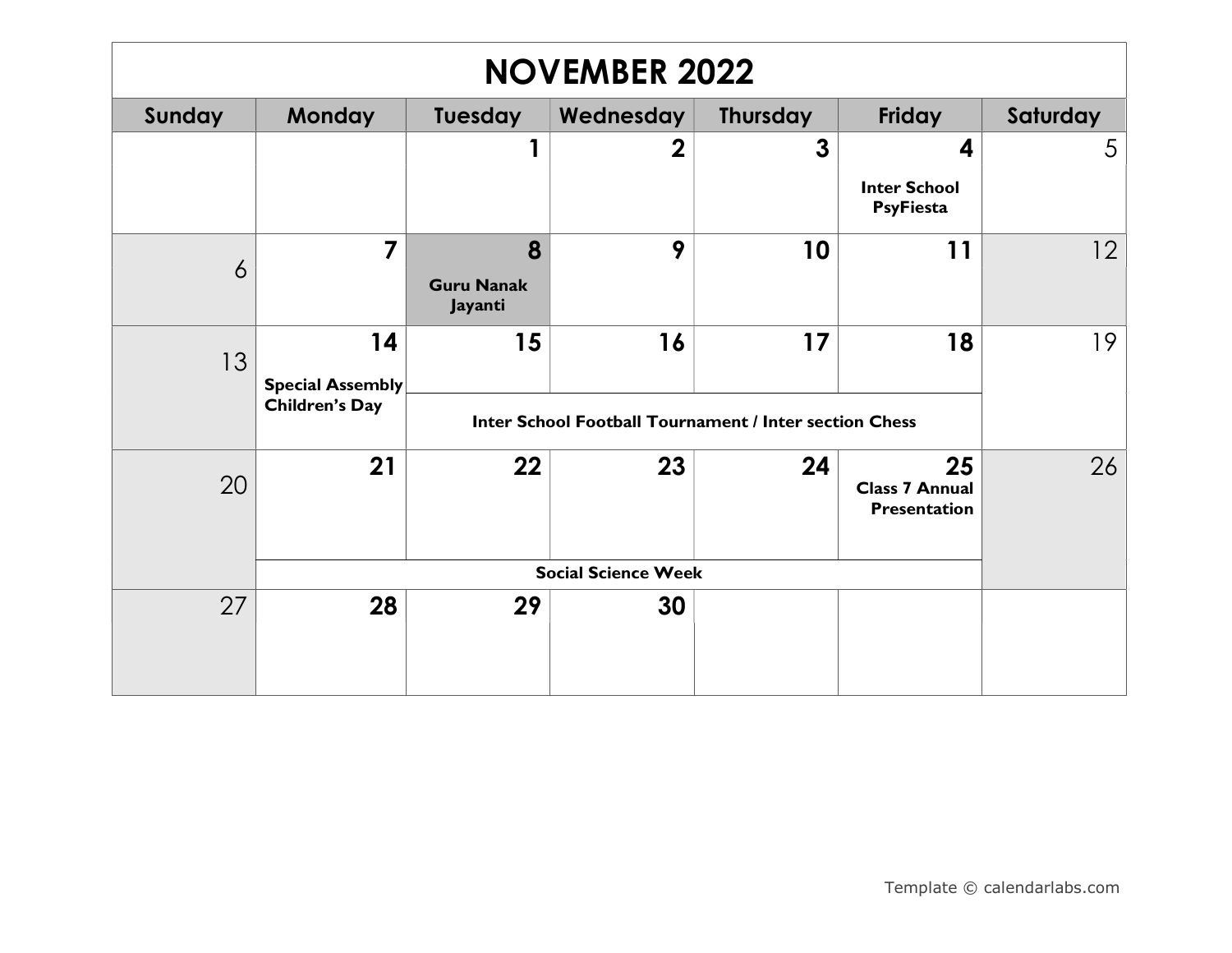| <b>NOVEMBER 2022</b> |                               |                                   |                                                               |                 |                                                    |          |  |  |
|----------------------|-------------------------------|-----------------------------------|---------------------------------------------------------------|-----------------|----------------------------------------------------|----------|--|--|
| Sunday               | <b>Monday</b>                 | Tuesday                           | Wednesday                                                     | <b>Thursday</b> | Friday                                             | Saturday |  |  |
|                      |                               |                                   | $\boldsymbol{2}$                                              | 3               | 4                                                  | 5        |  |  |
|                      |                               |                                   |                                                               |                 | <b>Inter School</b><br><b>PsyFiesta</b>            |          |  |  |
| $\overline{6}$       | $\overline{\mathbf{z}}$       | 8<br><b>Guru Nanak</b><br>Jayanti | 9                                                             | 10              | 11                                                 | 12       |  |  |
| 13                   | 14<br><b>Special Assembly</b> | 15                                | 16                                                            | 17              | 18                                                 | 19       |  |  |
|                      | <b>Children's Day</b>         |                                   | <b>Inter School Football Tournament / Inter section Chess</b> |                 |                                                    |          |  |  |
| 20                   | 21                            | 22                                | 23                                                            | 24              | 25<br><b>Class 7 Annual</b><br><b>Presentation</b> | 26       |  |  |
|                      | <b>Social Science Week</b>    |                                   |                                                               |                 |                                                    |          |  |  |
| 27                   | 28                            | 29                                | 30                                                            |                 |                                                    |          |  |  |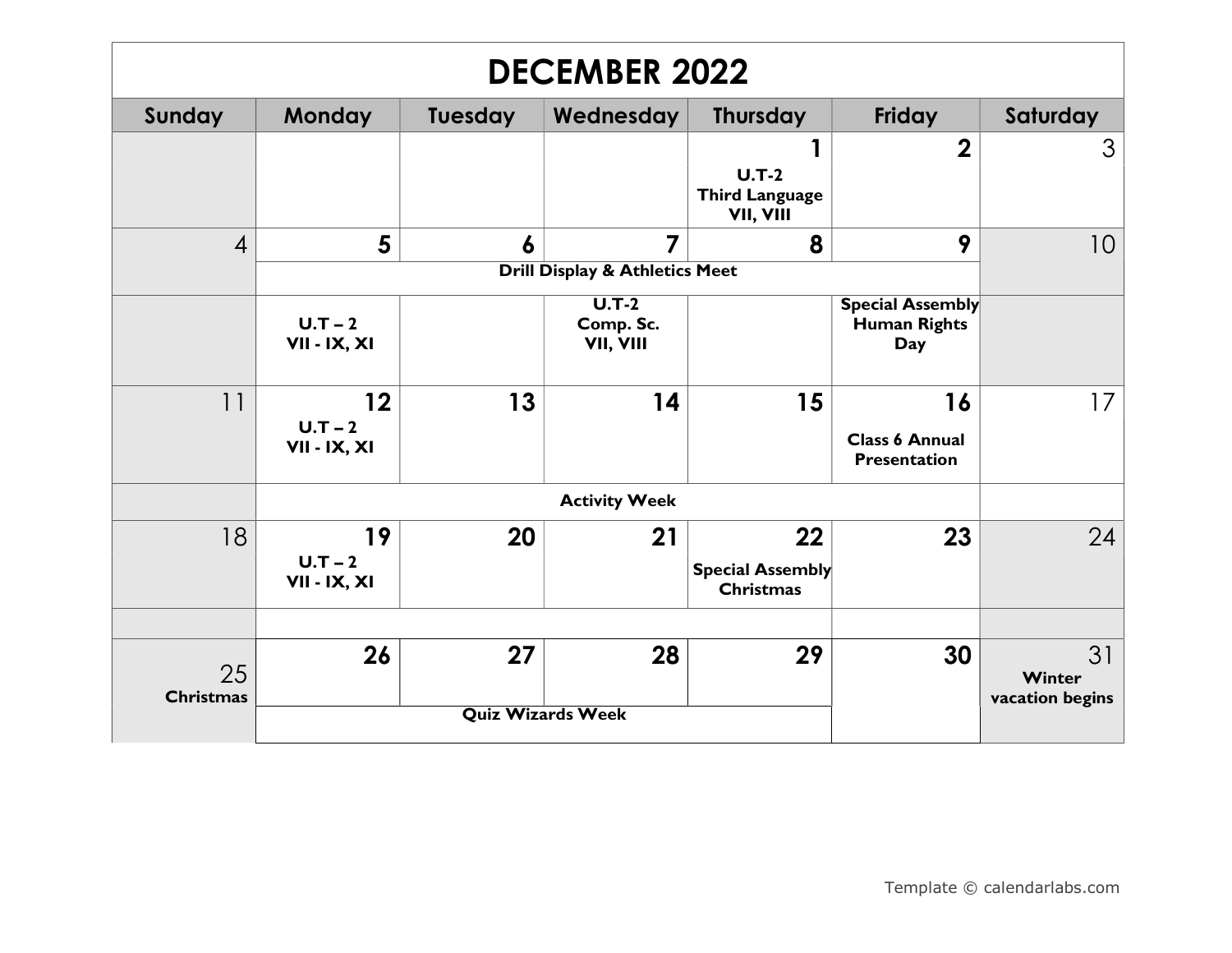| <b>DECEMBER 2022</b>   |                                              |         |                                              |                                                   |                                                       |                                 |  |  |
|------------------------|----------------------------------------------|---------|----------------------------------------------|---------------------------------------------------|-------------------------------------------------------|---------------------------------|--|--|
| Sunday                 | <b>Monday</b>                                | Tuesday | Wednesday                                    | <b>Thursday</b>                                   | Friday                                                | Saturday                        |  |  |
|                        |                                              |         |                                              | $U.T-2$<br><b>Third Language</b><br>VII, VIII     | $\mathbf 2$                                           | 3                               |  |  |
| $\overline{4}$         | 5                                            | 6       | 7                                            | 8                                                 | 9                                                     | 10                              |  |  |
|                        |                                              |         | <b>Drill Display &amp; Athletics Meet</b>    |                                                   |                                                       |                                 |  |  |
|                        | $U.T-2$<br>VII - IX, XI                      |         | $\overline{U.T-2}$<br>Comp. Sc.<br>VII, VIII |                                                   | <b>Special Assembly</b><br><b>Human Rights</b><br>Day |                                 |  |  |
| 11                     | $12 \overline{ }$<br>$U.T-2$<br>VII - IX, XI | 13      | 14                                           | 15                                                | 16<br><b>Class 6 Annual</b><br><b>Presentation</b>    | 17                              |  |  |
|                        |                                              |         | <b>Activity Week</b>                         |                                                   |                                                       |                                 |  |  |
| 18                     | 19<br>$U.T-2$<br>VII - IX, XI                | 20      | 21                                           | 22<br><b>Special Assembly</b><br><b>Christmas</b> | 23                                                    | 24                              |  |  |
|                        |                                              |         |                                              |                                                   |                                                       |                                 |  |  |
| 25<br><b>Christmas</b> | 26                                           | 27      | 28                                           | 29                                                | 30                                                    | 31<br>Winter<br>vacation begins |  |  |
|                        |                                              |         | <b>Quiz Wizards Week</b>                     |                                                   |                                                       |                                 |  |  |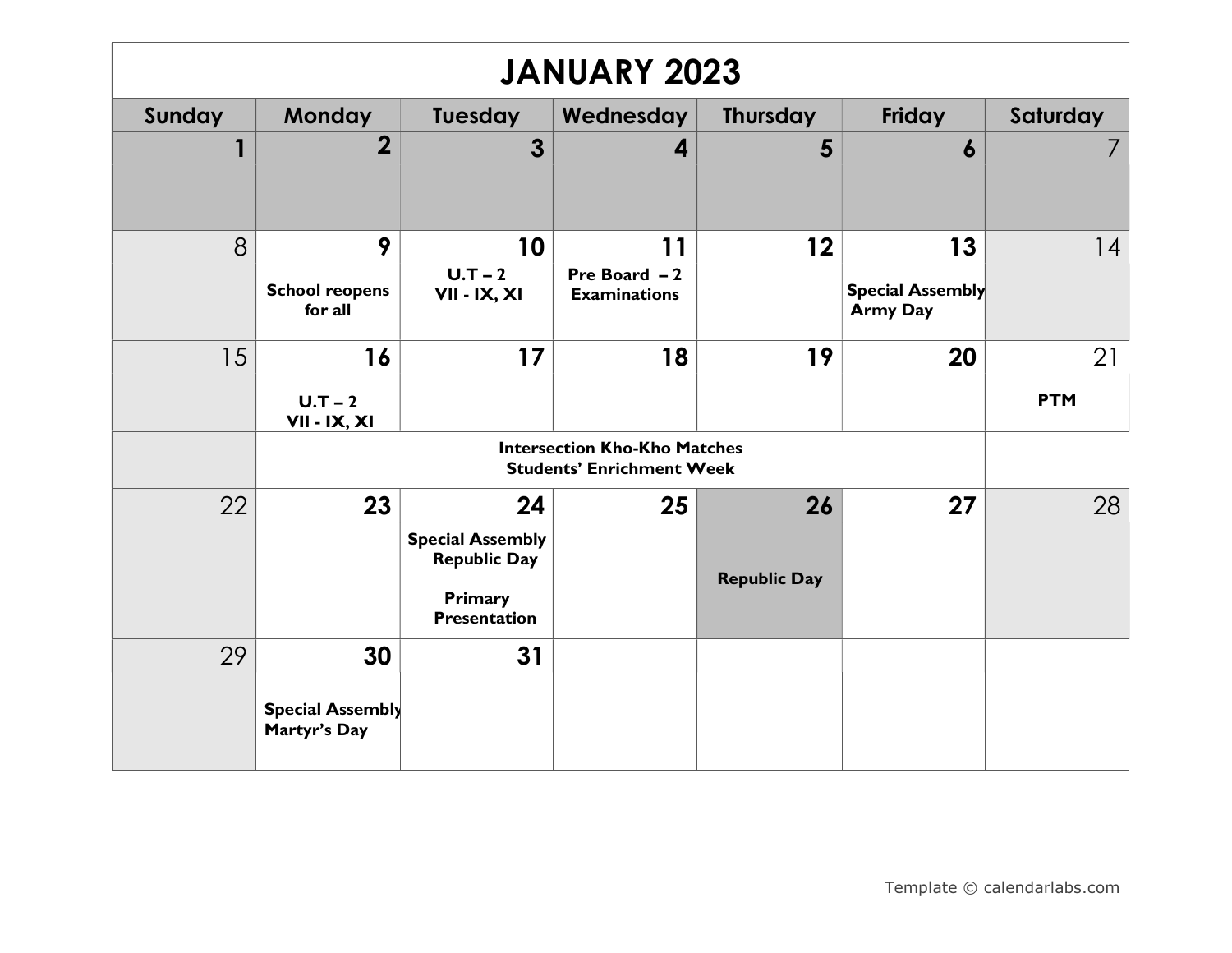| <b>JANUARY 2023</b> |                                               |                                                                                        |                                                                         |                           |                                                  |                  |  |  |
|---------------------|-----------------------------------------------|----------------------------------------------------------------------------------------|-------------------------------------------------------------------------|---------------------------|--------------------------------------------------|------------------|--|--|
| Sunday              | <b>Monday</b>                                 | Tuesday                                                                                | Wednesday                                                               | <b>Thursday</b>           | <b>Friday</b>                                    | Saturday         |  |  |
|                     | $\overline{2}$                                | 3                                                                                      | 4                                                                       | 5                         | $\boldsymbol{6}$                                 |                  |  |  |
| 8                   | 9<br><b>School reopens</b><br>for all         | 10<br>$U.T-2$<br>VII - IX, XI                                                          | 11<br>Pre Board $-2$<br><b>Examinations</b>                             | 12                        | 13<br><b>Special Assembly</b><br><b>Army Day</b> | 4                |  |  |
| 15                  | 16<br>$U.T-2$<br><b>VII - IX, XI</b>          | 17                                                                                     | 18                                                                      | 19                        | 20                                               | 21<br><b>PTM</b> |  |  |
|                     |                                               |                                                                                        | <b>Intersection Kho-Kho Matches</b><br><b>Students' Enrichment Week</b> |                           |                                                  |                  |  |  |
| 22                  | 23                                            | 24<br><b>Special Assembly</b><br><b>Republic Day</b><br>Primary<br><b>Presentation</b> | 25                                                                      | 26<br><b>Republic Day</b> | 27                                               | 28               |  |  |
| 29                  | 30<br><b>Special Assembly</b><br>Martyr's Day | 31                                                                                     |                                                                         |                           |                                                  |                  |  |  |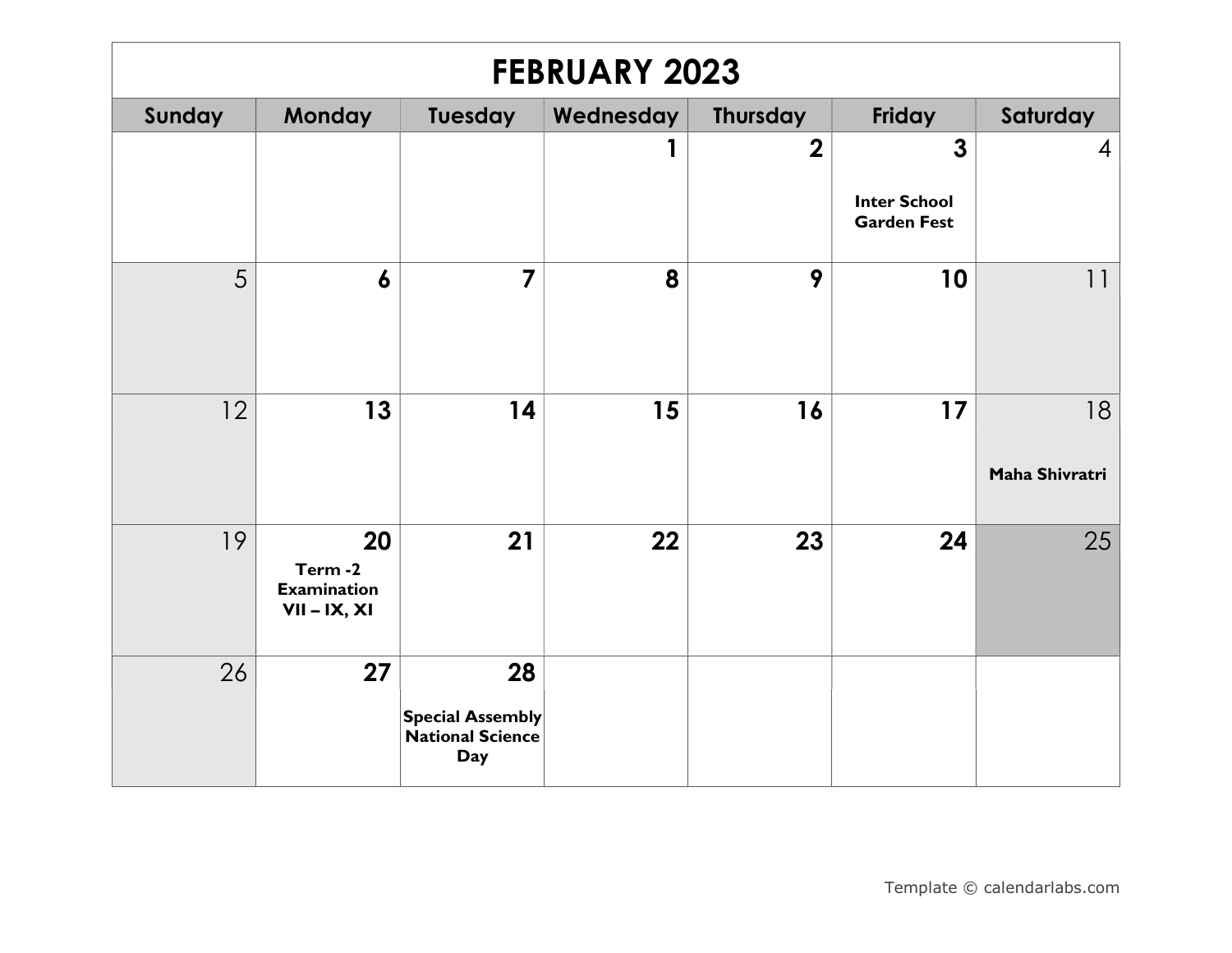| <b>FEBRUARY 2023</b> |                                                      |                                                                        |           |                         |                                                           |                      |  |  |
|----------------------|------------------------------------------------------|------------------------------------------------------------------------|-----------|-------------------------|-----------------------------------------------------------|----------------------|--|--|
| Sunday               | <b>Monday</b>                                        | Tuesday                                                                | Wednesday | <b>Thursday</b>         | Friday                                                    | Saturday             |  |  |
|                      |                                                      |                                                                        | 1         | $\overline{\mathbf{2}}$ | $\mathbf{3}$<br><b>Inter School</b><br><b>Garden Fest</b> | 4                    |  |  |
| 5                    | $\boldsymbol{6}$                                     | $\overline{7}$                                                         | 8         | 9                       | 10                                                        | 11                   |  |  |
| 12                   | 13                                                   | 14                                                                     | 15        | 16                      | 17                                                        | 18<br>Maha Shivratri |  |  |
| 19                   | 20<br>Term-2<br><b>Examination</b><br>$VII - IX, XI$ | 21                                                                     | 22        | 23                      | 24                                                        | 25                   |  |  |
| 26                   | 27                                                   | 28<br><b>Special Assembly</b><br><b>National Science</b><br><b>Day</b> |           |                         |                                                           |                      |  |  |